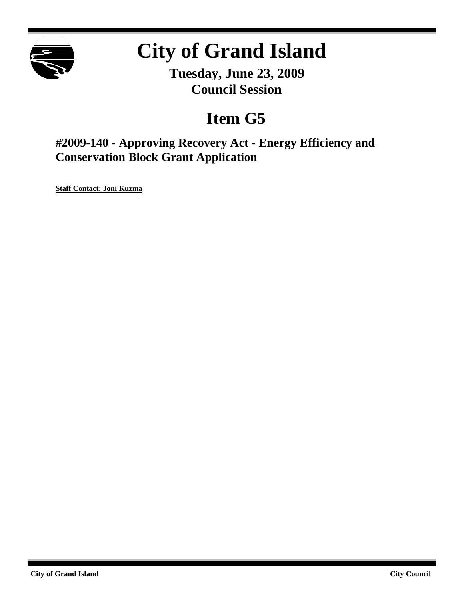

# **City of Grand Island**

**Tuesday, June 23, 2009 Council Session**

## **Item G5**

**#2009-140 - Approving Recovery Act - Energy Efficiency and Conservation Block Grant Application**

**Staff Contact: Joni Kuzma**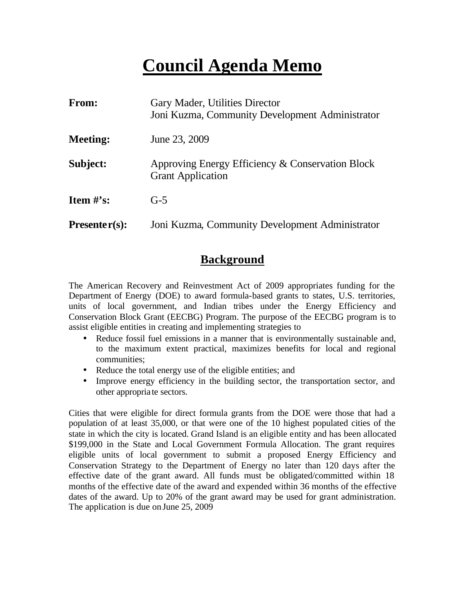## **Council Agenda Memo**

| From:           | Gary Mader, Utilities Director<br>Joni Kuzma, Community Development Administrator |  |
|-----------------|-----------------------------------------------------------------------------------|--|
| <b>Meeting:</b> | June 23, 2009                                                                     |  |
| Subject:        | Approving Energy Efficiency & Conservation Block<br><b>Grant Application</b>      |  |
| Item $\#$ 's:   | $G-5$                                                                             |  |
| $Presenter(s):$ | Joni Kuzma, Community Development Administrator                                   |  |

## **Background**

The American Recovery and Reinvestment Act of 2009 appropriates funding for the Department of Energy (DOE) to award formula-based grants to states, U.S. territories, units of local government, and Indian tribes under the Energy Efficiency and Conservation Block Grant (EECBG) Program. The purpose of the EECBG program is to assist eligible entities in creating and implementing strategies to

- Reduce fossil fuel emissions in a manner that is environmentally sustainable and, to the maximum extent practical, maximizes benefits for local and regional communities;
- Reduce the total energy use of the eligible entities; and
- Improve energy efficiency in the building sector, the transportation sector, and other appropria te sectors.

Cities that were eligible for direct formula grants from the DOE were those that had a population of at least 35,000, or that were one of the 10 highest populated cities of the state in which the city is located. Grand Island is an eligible entity and has been allocated \$199,000 in the State and Local Government Formula Allocation. The grant requires eligible units of local government to submit a proposed Energy Efficiency and Conservation Strategy to the Department of Energy no later than 120 days after the effective date of the grant award. All funds must be obligated/committed within 18 months of the effective date of the award and expended within 36 months of the effective dates of the award. Up to 20% of the grant award may be used for grant administration. The application is due on June 25, 2009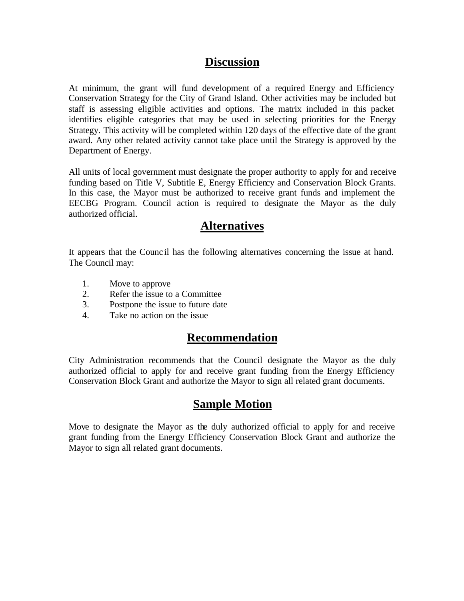#### **Discussion**

At minimum, the grant will fund development of a required Energy and Efficiency Conservation Strategy for the City of Grand Island. Other activities may be included but staff is assessing eligible activities and options. The matrix included in this packet identifies eligible categories that may be used in selecting priorities for the Energy Strategy. This activity will be completed within 120 days of the effective date of the grant award. Any other related activity cannot take place until the Strategy is approved by the Department of Energy.

All units of local government must designate the proper authority to apply for and receive funding based on Title V, Subtitle E, Energy Efficiency and Conservation Block Grants. In this case, the Mayor must be authorized to receive grant funds and implement the EECBG Program. Council action is required to designate the Mayor as the duly authorized official.

#### **Alternatives**

It appears that the Counc il has the following alternatives concerning the issue at hand. The Council may:

- 1. Move to approve
- 2. Refer the issue to a Committee
- 3. Postpone the issue to future date
- 4. Take no action on the issue

## **Recommendation**

City Administration recommends that the Council designate the Mayor as the duly authorized official to apply for and receive grant funding from the Energy Efficiency Conservation Block Grant and authorize the Mayor to sign all related grant documents.

## **Sample Motion**

Move to designate the Mayor as the duly authorized official to apply for and receive grant funding from the Energy Efficiency Conservation Block Grant and authorize the Mayor to sign all related grant documents.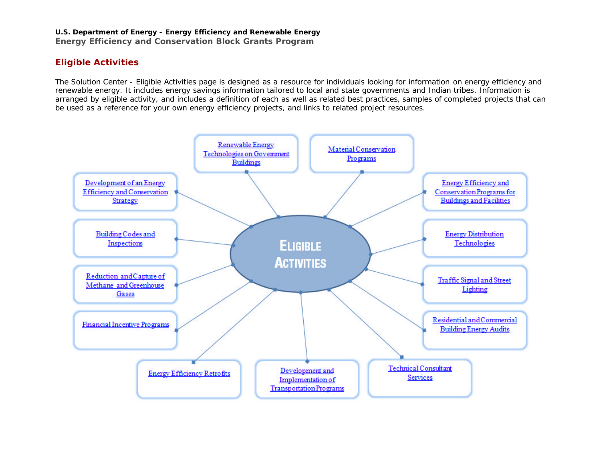#### **U.S. Department of Energy - Energy Efficiency and Renewable Energy**

**Energy Efficiency and Conservation Block Grants Program**

#### **Eligible Activities**

The Solution Center - Eligible Activities page is designed as a resource for individuals looking for information on energy efficiency and renewable energy. It includes energy savings information tailored to local and state governments and Indian tribes. Information is arranged by eligible activity, and includes a definition of each as well as related best practices, samples of completed projects that can be used as a reference for your own energy efficiency projects, and links to related project resources.